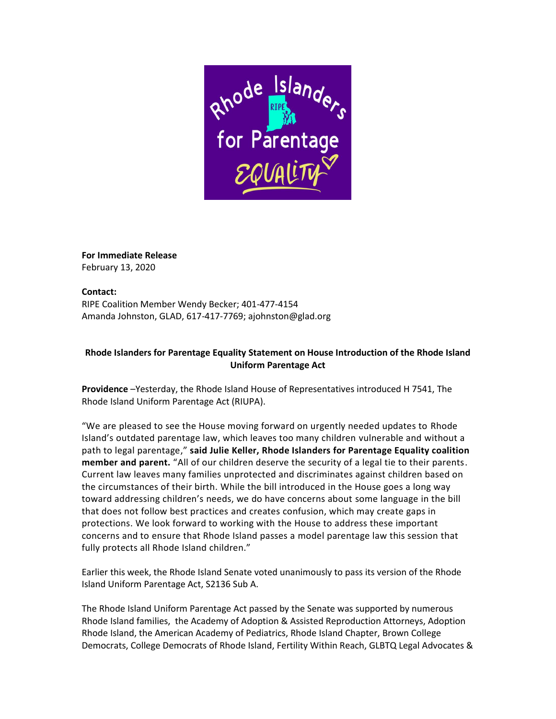

**For Immediate Release** February 13, 2020

## **Contact:**

RIPE Coalition Member Wendy Becker; 401-477-4154 Amanda Johnston, GLAD, 617-417-7769; ajohnston@glad.org

## **Rhode Islanders for Parentage Equality Statement on House Introduction of the Rhode Island Uniform Parentage Act**

**Providence** –Yesterday, the Rhode Island House of Representatives introduced H 7541, The Rhode Island Uniform Parentage Act (RIUPA).

"We are pleased to see the House moving forward on urgently needed updates to Rhode Island's outdated parentage law, which leaves too many children vulnerable and without a path to legal parentage," **said Julie Keller, Rhode Islanders for Parentage Equality coalition member and parent.** "All of our children deserve the security of a legal tie to their parents. Current law leaves many families unprotected and discriminates against children based on the circumstances of their birth. While the bill introduced in the House goes a long way toward addressing children's needs, we do have concerns about some language in the bill that does not follow best practices and creates confusion, which may create gaps in protections. We look forward to working with the House to address these important concerns and to ensure that Rhode Island passes a model parentage law this session that fully protects all Rhode Island children."

Earlier this week, the Rhode Island Senate voted unanimously to pass its version of the Rhode Island Uniform Parentage Act, S2136 Sub A.

The Rhode Island Uniform Parentage Act passed by the Senate was supported by numerous Rhode Island families, the Academy of Adoption & Assisted Reproduction Attorneys, Adoption Rhode Island, the American Academy of Pediatrics, Rhode Island Chapter, Brown College Democrats, College Democrats of Rhode Island, Fertility Within Reach, GLBTQ Legal Advocates &